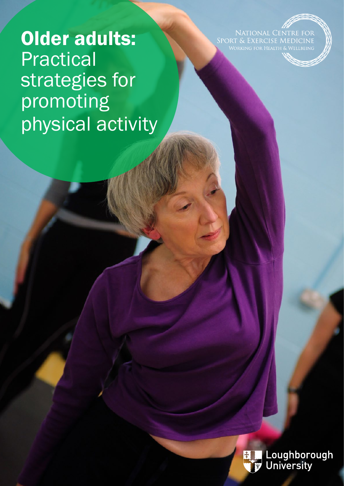NATIONAL CENTRE FOR<br>SPORT & EXERCISE MEDICINE<br>WORKING FOR HEALTH & WELLBEING

Older adults: Practical strategies for promoting physical activity



Loughborough<br>University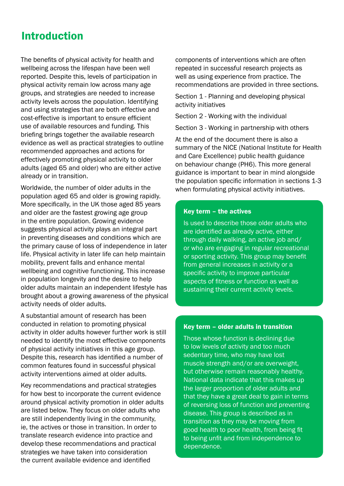## Introduction

The benefits of physical activity for health and wellbeing across the lifespan have been well reported. Despite this, levels of participation in physical activity remain low across many age groups, and strategies are needed to increase activity levels across the population. Identifying and using strategies that are both effective and cost-effective is important to ensure efficient use of available resources and funding. This briefing brings together the available research evidence as well as practical strategies to outline recommended approaches and actions for effectively promoting physical activity to older adults (aged 65 and older) who are either active already or in transition.

Worldwide, the number of older adults in the population aged 65 and older is growing rapidly. More specifically, in the UK those aged 85 years and older are the fastest growing age group in the entire population. Growing evidence suggests physical activity plays an integral part in preventing diseases and conditions which are the primary cause of loss of independence in later life. Physical activity in later life can help maintain mobility, prevent falls and enhance mental wellbeing and cognitive functioning. This increase in population longevity and the desire to help older adults maintain an independent lifestyle has brought about a growing awareness of the physical activity needs of older adults.

A substantial amount of research has been conducted in relation to promoting physical activity in older adults however further work is still needed to identify the most effective components of physical activity initiatives in this age group. Despite this, research has identified a number of common features found in successful physical activity interventions aimed at older adults.

Key recommendations and practical strategies for how best to incorporate the current evidence around physical activity promotion in older adults are listed below. They focus on older adults who are still independently living in the community, ie, the actives or those in transition. In order to translate research evidence into practice and develop these recommendations and practical strategies we have taken into consideration the current available evidence and identified

components of interventions which are often repeated in successful research projects as well as using experience from practice. The recommendations are provided in three sections.

Section 1 - Planning and developing physical activity initiatives

Section 2 - Working with the individual

Section 3 - Working in partnership with others

At the end of the document there is also a summary of the NICE (National Institute for Health and Care Excellence) public health guidance on behaviour change (PH6). This more general guidance is important to bear in mind alongside the population specific information in sections 1-3 when formulating physical activity initiatives.

#### Key term – the actives

Is used to describe those older adults who are identified as already active, either through daily walking, an active job and/ or who are engaging in regular recreational or sporting activity. This group may benefit from general increases in activity or a specific activity to improve particular aspects of fitness or function as well as sustaining their current activity levels.

#### Key term – older adults in transition

Those whose function is declining due to low levels of activity and too much sedentary time, who may have lost muscle strength and/or are overweight, but otherwise remain reasonably healthy. National data indicate that this makes up the larger proportion of older adults and that they have a great deal to gain in terms of reversing loss of function and preventing disease. This group is described as in transition as they may be moving from good health to poor health, from being fit to being unfit and from independence to dependence.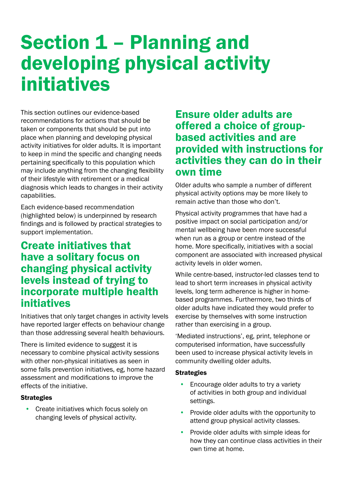# Section 1 – Planning and developing physical activity initiatives

This section outlines our evidence-based recommendations for actions that should be taken or components that should be put into place when planning and developing physical activity initiatives for older adults. It is important to keep in mind the specific and changing needs pertaining specifically to this population which may include anything from the changing flexibility of their lifestyle with retirement or a medical diagnosis which leads to changes in their activity capabilities.

Each evidence-based recommendation (highlighted below) is underpinned by research findings and is followed by practical strategies to support implementation.

## Create initiatives that have a solitary focus on changing physical activity levels instead of trying to incorporate multiple health initiatives

Initiatives that only target changes in activity levels have reported larger effects on behaviour change than those addressing several health behaviours.

There is limited evidence to suggest it is necessary to combine physical activity sessions with other non-physical initiatives as seen in some falls prevention initiatives, eg, home hazard assessment and modifications to improve the effects of the initiative.

#### **Strategies**

• Create initiatives which focus solely on changing levels of physical activity.

## Ensure older adults are offered a choice of groupbased activities and are provided with instructions for activities they can do in their own time

Older adults who sample a number of different physical activity options may be more likely to remain active than those who don't.

Physical activity programmes that have had a positive impact on social participation and/or mental wellbeing have been more successful when run as a group or centre instead of the home. More specifically, initiatives with a social component are associated with increased physical activity levels in older women.

While centre-based, instructor-led classes tend to lead to short term increases in physical activity levels, long term adherence is higher in homebased programmes. Furthermore, two thirds of older adults have indicated they would prefer to exercise by themselves with some instruction rather than exercising in a group.

'Mediated instructions', eg, print, telephone or computerised information, have successfully been used to increase physical activity levels in community dwelling older adults.

- Encourage older adults to try a variety of activities in both group and individual settings.
- Provide older adults with the opportunity to attend group physical activity classes.
- Provide older adults with simple ideas for how they can continue class activities in their own time at home.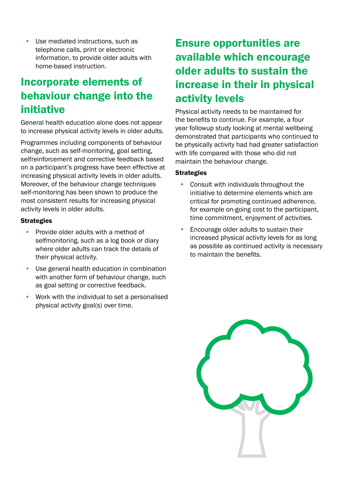Use mediated instructions, such as telephone calls, print or electronic information, to provide older adults with home-based instruction.

## Incorporate elements of behaviour change into the initiative

General health education alone does not appear to increase physical activity levels in older adults.

Programmes including components of behaviour change, such as self-monitoring, goal setting, selfreinforcement and corrective feedback based on a participant's progress have been effective at increasing physical activity levels in older adults. Moreover, of the behaviour change techniques self-monitoring has been shown to produce the most consistent results for increasing physical activity levels in older adults.

#### **Strategies**

- Provide older adults with a method of selfmonitoring, such as a log book or diary where older adults can track the details of their physical activity.
- Use general health education in combination with another form of behaviour change, such as goal setting or corrective feedback.
- Work with the individual to set a personalised physical activity goal(s) over time.

# Ensure opportunities are available which encourage older adults to sustain the increase in their in physical activity levels

Physical activity needs to be maintained for the benefits to continue. For example, a four year followup study looking at mental wellbeing demonstrated that participants who continued to be physically activity had had greater satisfaction with life compared with those who did not maintain the behaviour change.

- Consult with individuals throughout the initiative to determine elements which are critical for promoting continued adherence, for example on-going cost to the participant, time commitment, enjoyment of activities.
- Encourage older adults to sustain their increased physical activity levels for as long as possible as continued activity is necessary to maintain the benefits.

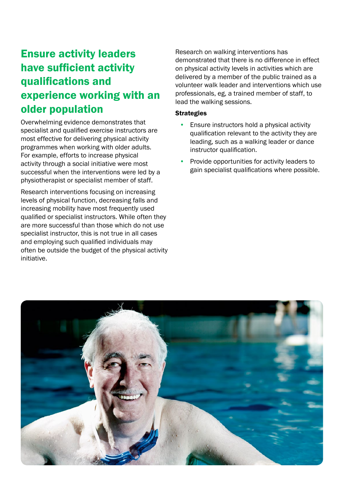# Ensure activity leaders have sufficient activity qualifications and experience working with an older population

Overwhelming evidence demonstrates that specialist and qualified exercise instructors are most effective for delivering physical activity programmes when working with older adults. For example, efforts to increase physical activity through a social initiative were most successful when the interventions were led by a physiotherapist or specialist member of staff.

Research interventions focusing on increasing levels of physical function, decreasing falls and increasing mobility have most frequently used qualified or specialist instructors. While often they are more successful than those which do not use specialist instructor, this is not true in all cases and employing such qualified individuals may often be outside the budget of the physical activity initiative.

Research on walking interventions has demonstrated that there is no difference in effect on physical activity levels in activities which are delivered by a member of the public trained as a volunteer walk leader and interventions which use professionals, eg, a trained member of staff, to lead the walking sessions.

- Ensure instructors hold a physical activity qualification relevant to the activity they are leading, such as a walking leader or dance instructor qualification.
- Provide opportunities for activity leaders to gain specialist qualifications where possible.

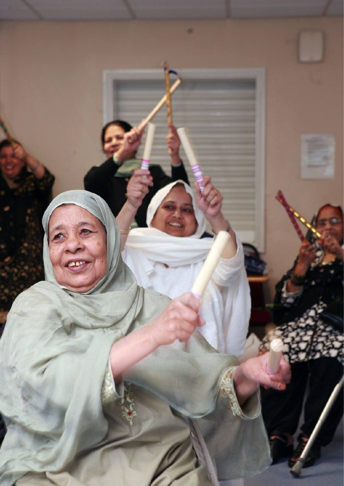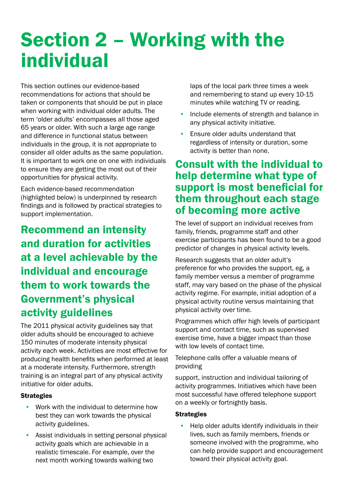# Section 2 – Working with the individual

This section outlines our evidence-based recommendations for actions that should be taken or components that should be put in place when working with individual older adults. The term 'older adults' encompasses all those aged 65 years or older. With such a large age range and difference in functional status between individuals in the group, it is not appropriate to consider all older adults as the same population. It is important to work one on one with individuals to ensure they are getting the most out of their opportunities for physical activity.

Each evidence-based recommendation (highlighted below) is underpinned by research findings and is followed by practical strategies to support implementation.

# Recommend an intensity and duration for activities at a level achievable by the individual and encourage them to work towards the Government's physical activity guidelines

The 2011 physical activity guidelines say that older adults should be encouraged to achieve 150 minutes of moderate intensity physical activity each week. Activities are most effective for producing health benefits when performed at least at a moderate intensity. Furthermore, strength training is an integral part of any physical activity initiative for older adults.

#### **Strategies**

- Work with the individual to determine how best they can work towards the physical activity guidelines.
- Assist individuals in setting personal physical activity goals which are achievable in a realistic timescale. For example, over the next month working towards walking two

laps of the local park three times a week and remembering to stand up every 10-15 minutes while watching TV or reading.

- Include elements of strength and balance in any physical activity initiative.
- Ensure older adults understand that regardless of intensity or duration, some activity is better than none.

## Consult with the individual to help determine what type of support is most beneficial for them throughout each stage of becoming more active

The level of support an individual receives from family, friends, programme staff and other exercise participants has been found to be a good predictor of changes in physical activity levels.

Research suggests that an older adult's preference for who provides the support, eg, a family member versus a member of programme staff, may vary based on the phase of the physical activity regime. For example, initial adoption of a physical activity routine versus maintaining that physical activity over time.

Programmes which offer high levels of participant support and contact time, such as supervised exercise time, have a bigger impact than those with low levels of contact time.

Telephone calls offer a valuable means of providing

support, instruction and individual tailoring of activity programmes. Initiatives which have been most successful have offered telephone support on a weekly or fortnightly basis.

### **Strategies**

• Help older adults identify individuals in their lives, such as family members, friends or someone involved with the programme, who can help provide support and encouragement toward their physical activity goal.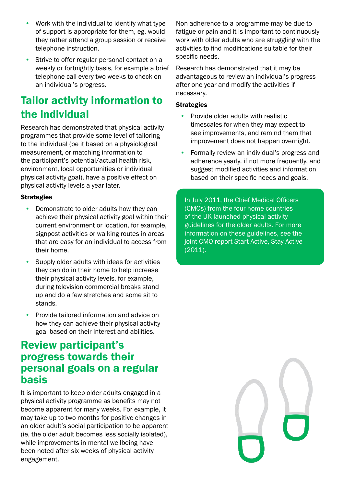- Work with the individual to identify what type of support is appropriate for them, eg, would they rather attend a group session or receive telephone instruction.
- Strive to offer regular personal contact on a weekly or fortnightly basis, for example a brief telephone call every two weeks to check on an individual's progress.

## Tailor activity information to the individual

Research has demonstrated that physical activity programmes that provide some level of tailoring to the individual (be it based on a physiological measurement, or matching information to the participant's potential/actual health risk, environment, local opportunities or individual physical activity goal), have a positive effect on physical activity levels a year later.

### **Strategies**

- Demonstrate to older adults how they can achieve their physical activity goal within their current environment or location, for example, signpost activities or walking routes in areas that are easy for an individual to access from their home.
- Supply older adults with ideas for activities they can do in their home to help increase their physical activity levels, for example, during television commercial breaks stand up and do a few stretches and some sit to stands.
- Provide tailored information and advice on how they can achieve their physical activity goal based on their interest and abilities.

## Review participant's progress towards their personal goals on a regular basis

It is important to keep older adults engaged in a physical activity programme as benefits may not become apparent for many weeks. For example, it may take up to two months for positive changes in an older adult's social participation to be apparent (ie, the older adult becomes less socially isolated), while improvements in mental wellbeing have been noted after six weeks of physical activity engagement.

Non-adherence to a programme may be due to fatigue or pain and it is important to continuously work with older adults who are struggling with the activities to find modifications suitable for their specific needs.

Research has demonstrated that it may be advantageous to review an individual's progress after one year and modify the activities if necessary.

#### **Strategies**

- Provide older adults with realistic timescales for when they may expect to see improvements, and remind them that improvement does not happen overnight.
- Formally review an individual's progress and adherence yearly, if not more frequently, and suggest modified activities and information based on their specific needs and goals.

In July 2011, the Chief Medical Officers (CMOs) from the four home countries of the UK launched physical activity guidelines for the older adults. For more information on these guidelines, see the joint CMO report Start Active, Stay Active (2011).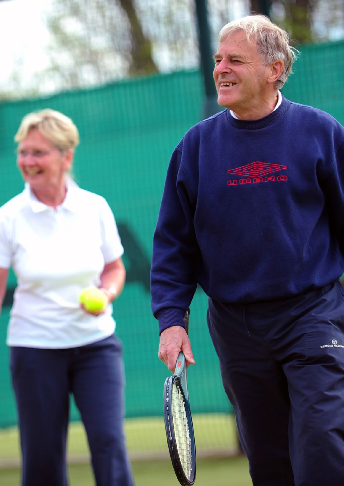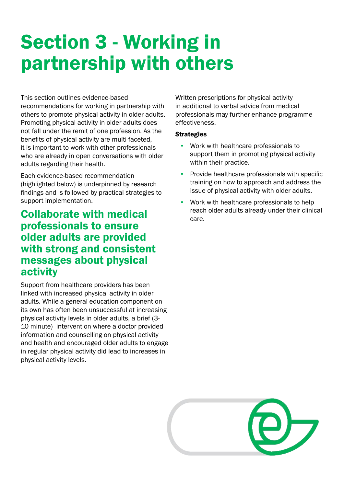# Section 3 - Working in partnership with others

This section outlines evidence-based recommendations for working in partnership with others to promote physical activity in older adults. Promoting physical activity in older adults does not fall under the remit of one profession. As the benefits of physical activity are multi-faceted, it is important to work with other professionals who are already in open conversations with older adults regarding their health.

Each evidence-based recommendation (highlighted below) is underpinned by research findings and is followed by practical strategies to support implementation.

## Collaborate with medical professionals to ensure older adults are provided with strong and consistent messages about physical activity

Support from healthcare providers has been linked with increased physical activity in older adults. While a general education component on its own has often been unsuccessful at increasing physical activity levels in older adults, a brief (3- 10 minute) intervention where a doctor provided information and counselling on physical activity and health and encouraged older adults to engage in regular physical activity did lead to increases in physical activity levels.

Written prescriptions for physical activity in additional to verbal advice from medical professionals may further enhance programme effectiveness.

- Work with healthcare professionals to support them in promoting physical activity within their practice.
- Provide healthcare professionals with specific training on how to approach and address the issue of physical activity with older adults.
- Work with healthcare professionals to help reach older adults already under their clinical care.

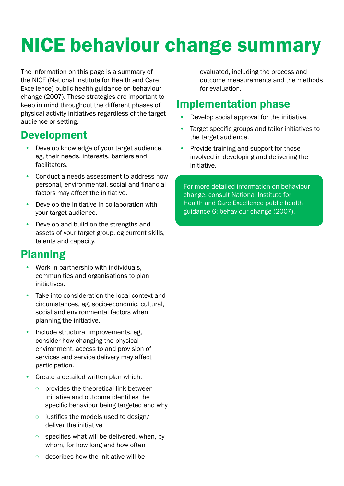# NICE behaviour change summary

The information on this page is a summary of the NICE (National Institute for Health and Care Excellence) public health guidance on behaviour change (2007). These strategies are important to keep in mind throughout the different phases of physical activity initiatives regardless of the target audience or setting.

## Development

- Develop knowledge of your target audience, eg, their needs, interests, barriers and facilitators.
- Conduct a needs assessment to address how personal, environmental, social and financial factors may affect the initiative.
- Develop the initiative in collaboration with your target audience.
- Develop and build on the strengths and assets of your target group, eg current skills, talents and capacity.

## Planning

- Work in partnership with individuals, communities and organisations to plan initiatives.
- Take into consideration the local context and circumstances, eg, socio-economic, cultural, social and environmental factors when planning the initiative.
- Include structural improvements, eg. consider how changing the physical environment, access to and provision of services and service delivery may affect participation.
- Create a detailed written plan which:
	- provides the theoretical link between initiative and outcome identifies the specific behaviour being targeted and why
	- justifies the models used to design/ deliver the initiative
	- specifies what will be delivered, when, by whom, for how long and how often
	- describes how the initiative will be

evaluated, including the process and outcome measurements and the methods for evaluation.

## Implementation phase

- Develop social approval for the initiative.
- Target specific groups and tailor initiatives to the target audience.
- Provide training and support for those involved in developing and delivering the initiative.

For more detailed information on behaviour change, consult National Institute for Health and Care Excellence public health guidance 6: behaviour change (2007).